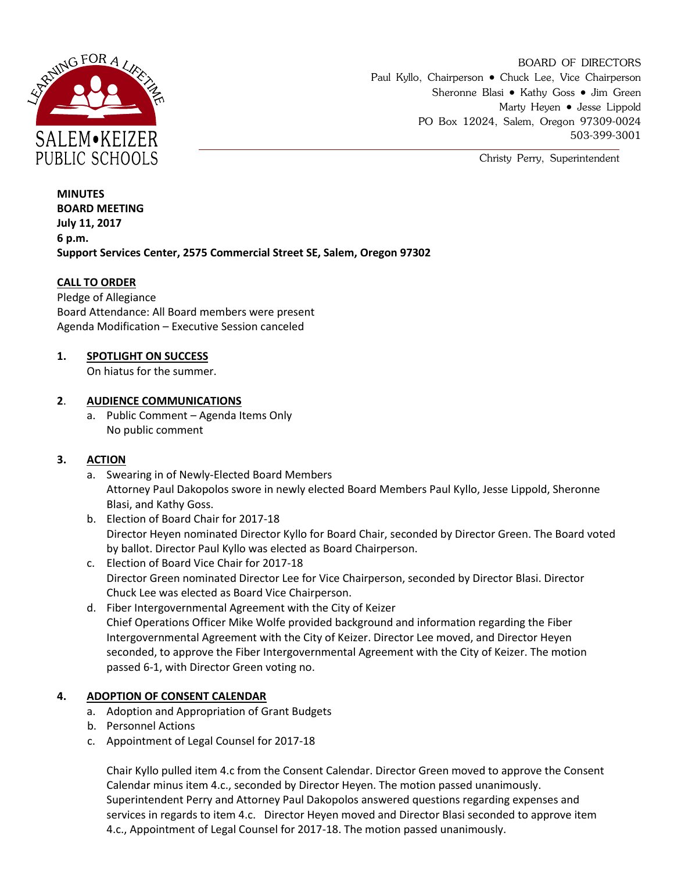

BOARD OF DIRECTORS Paul Kyllo, Chairperson • Chuck Lee, Vice Chairperson Sheronne Blasi • Kathy Goss • Jim Green Marty Heyen • Jesse Lippold PO Box 12024, Salem, Oregon 97309-0024 503-399-3001

Christy Perry, Superintendent

**MINUTES BOARD MEETING July 11, 2017 6 p.m. Support Services Center, 2575 Commercial Street SE, Salem, Oregon 97302**

### **CALL TO ORDER**

Pledge of Allegiance Board Attendance: All Board members were present Agenda Modification – Executive Session canceled

### **1. SPOTLIGHT ON SUCCESS**

On hiatus for the summer.

#### **2**. **AUDIENCE COMMUNICATIONS**

a. Public Comment – Agenda Items Only No public comment

### **3. ACTION**

- a. Swearing in of Newly-Elected Board Members Attorney Paul Dakopolos swore in newly elected Board Members Paul Kyllo, Jesse Lippold, Sheronne Blasi, and Kathy Goss.
- b. Election of Board Chair for 2017-18 Director Heyen nominated Director Kyllo for Board Chair, seconded by Director Green. The Board voted by ballot. Director Paul Kyllo was elected as Board Chairperson.
- c. Election of Board Vice Chair for 2017-18 Director Green nominated Director Lee for Vice Chairperson, seconded by Director Blasi. Director Chuck Lee was elected as Board Vice Chairperson.
- d. Fiber Intergovernmental Agreement with the City of Keizer Chief Operations Officer Mike Wolfe provided background and information regarding the Fiber Intergovernmental Agreement with the City of Keizer. Director Lee moved, and Director Heyen seconded, to approve the Fiber Intergovernmental Agreement with the City of Keizer. The motion passed 6-1, with Director Green voting no.

### **4. ADOPTION OF CONSENT CALENDAR**

- a. Adoption and Appropriation of Grant Budgets
- b. Personnel Actions
- c. Appointment of Legal Counsel for 2017-18

Chair Kyllo pulled item 4.c from the Consent Calendar. Director Green moved to approve the Consent Calendar minus item 4.c., seconded by Director Heyen. The motion passed unanimously. Superintendent Perry and Attorney Paul Dakopolos answered questions regarding expenses and services in regards to item 4.c. Director Heyen moved and Director Blasi seconded to approve item 4.c., Appointment of Legal Counsel for 2017-18. The motion passed unanimously.